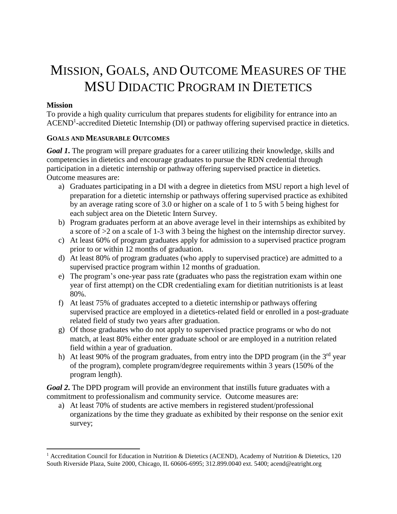## MISSION, GOALS, AND OUTCOME MEASURES OF THE MSU DIDACTIC PROGRAM IN DIETETICS

## **Mission**

 $\overline{a}$ 

To provide a high quality curriculum that prepares students for eligibility for entrance into an  $\text{ACEND}^1$ -accredited Dietetic Internship (DI) or pathway offering supervised practice in dietetics.

## **GOALS AND MEASURABLE OUTCOMES**

*Goal 1***.** The program will prepare graduates for a career utilizing their knowledge, skills and competencies in dietetics and encourage graduates to pursue the RDN credential through participation in a dietetic internship or pathway offering supervised practice in dietetics. Outcome measures are:

- a) Graduates participating in a DI with a degree in dietetics from MSU report a high level of preparation for a dietetic internship or pathways offering supervised practice as exhibited by an average rating score of 3.0 or higher on a scale of 1 to 5 with 5 being highest for each subject area on the Dietetic Intern Survey.
- b) Program graduates perform at an above average level in their internships as exhibited by a score of >2 on a scale of 1-3 with 3 being the highest on the internship director survey.
- c) At least 60% of program graduates apply for admission to a supervised practice program prior to or within 12 months of graduation.
- d) At least 80% of program graduates (who apply to supervised practice) are admitted to a supervised practice program within 12 months of graduation.
- e) The program's one-year pass rate (graduates who pass the registration exam within one year of first attempt) on the CDR credentialing exam for dietitian nutritionists is at least 80%.
- f) At least 75% of graduates accepted to a dietetic internship or pathways offering supervised practice are employed in a dietetics-related field or enrolled in a post-graduate related field of study two years after graduation.
- g) Of those graduates who do not apply to supervised practice programs or who do not match, at least 80% either enter graduate school or are employed in a nutrition related field within a year of graduation.
- h) At least 90% of the program graduates, from entry into the DPD program (in the  $3<sup>rd</sup>$  year of the program), complete program/degree requirements within 3 years (150% of the program length).

*Goal 2***.** The DPD program will provide an environment that instills future graduates with a commitment to professionalism and community service. Outcome measures are:

a) At least 70% of students are active members in registered student/professional organizations by the time they graduate as exhibited by their response on the senior exit survey;

<sup>1</sup> Accreditation Council for Education in Nutrition & Dietetics (ACEND), Academy of Nutrition & Dietetics, 120 South Riverside Plaza, Suite 2000, Chicago, IL 60606-6995; 312.899.0040 ext. 5400; acend@eatright.org